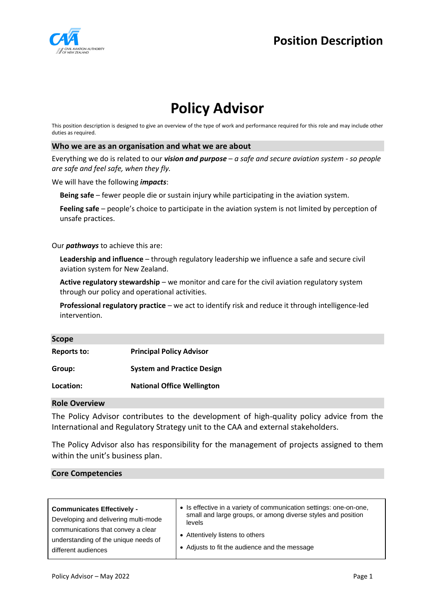

## **Position Description**

# **Policy Advisor**

This position description is designed to give an overview of the type of work and performance required for this role and may include other duties as required.

#### **Who we are as an organisation and what we are about**

Everything we do is related to our *vision and purpose – a safe and secure aviation system - so people are safe and feel safe, when they fly.*

We will have the following *impacts*:

**Being safe** – fewer people die or sustain injury while participating in the aviation system.

**Feeling safe** – people's choice to participate in the aviation system is not limited by perception of unsafe practices.

Our *pathways* to achieve this are:

**Leadership and influence** – through regulatory leadership we influence a safe and secure civil aviation system for New Zealand.

Active regulatory stewardship – we monitor and care for the civil aviation regulatory system through our policy and operational activities.

**Professional regulatory practice** – we act to identify risk and reduce it through intelligence-led intervention.

| cop <sup>.</sup> |
|------------------|
|------------------|

| Reports to: | <b>Principal Policy Advisor</b>   |
|-------------|-----------------------------------|
| Group:      | <b>System and Practice Design</b> |
| Location:   | <b>National Office Wellington</b> |

### **Role Overview**

The Policy Advisor contributes to the development of high-quality policy advice from the International and Regulatory Strategy unit to the CAA and external stakeholders.

The Policy Advisor also has responsibility for the management of projects assigned to them within the unit's business plan.

#### **Core Competencies**

| <b>Communicates Effectively -</b>    | • Is effective in a variety of communication settings: one-on-one, |
|--------------------------------------|--------------------------------------------------------------------|
| Developing and delivering multi-mode | small and large groups, or among diverse styles and position       |
| communications that convey a clear   | levels                                                             |
| understanding of the unique needs of | • Attentively listens to others                                    |
| different audiences                  | • Adjusts to fit the audience and the message                      |
|                                      |                                                                    |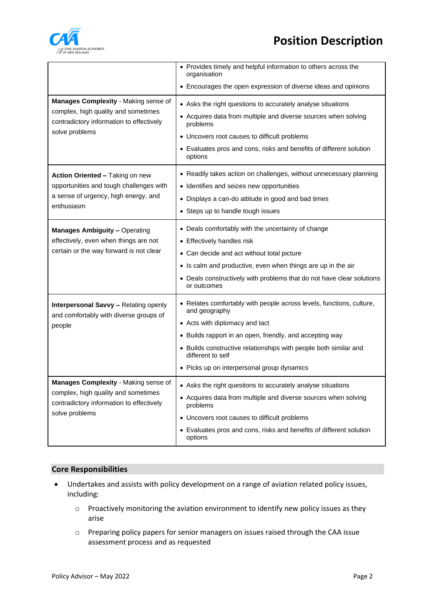

# **Position Description**

|                                                                                                                                           | • Provides timely and helpful information to others across the<br>organisation        |
|-------------------------------------------------------------------------------------------------------------------------------------------|---------------------------------------------------------------------------------------|
|                                                                                                                                           | • Encourages the open expression of diverse ideas and opinions                        |
| Manages Complexity - Making sense of<br>complex, high quality and sometimes<br>contradictory information to effectively<br>solve problems | • Asks the right questions to accurately analyse situations                           |
|                                                                                                                                           | • Acquires data from multiple and diverse sources when solving<br>problems            |
|                                                                                                                                           | • Uncovers root causes to difficult problems                                          |
|                                                                                                                                           | • Evaluates pros and cons, risks and benefits of different solution<br>options        |
| Action Oriented - Taking on new<br>opportunities and tough challenges with<br>a sense of urgency, high energy, and<br>enthusiasm          | • Readily takes action on challenges, without unnecessary planning                    |
|                                                                                                                                           | • Identifies and seizes new opportunities                                             |
|                                                                                                                                           | • Displays a can-do attitude in good and bad times                                    |
|                                                                                                                                           | • Steps up to handle tough issues                                                     |
| <b>Manages Ambiguity - Operating</b>                                                                                                      | • Deals comfortably with the uncertainty of change                                    |
| effectively, even when things are not                                                                                                     | • Effectively handles risk                                                            |
| certain or the way forward is not clear                                                                                                   | • Can decide and act without total picture                                            |
|                                                                                                                                           | • Is calm and productive, even when things are up in the air                          |
|                                                                                                                                           | • Deals constructively with problems that do not have clear solutions<br>or outcomes  |
| <b>Interpersonal Savvy - Relating openly</b><br>and comfortably with diverse groups of<br>people                                          | • Relates comfortably with people across levels, functions, culture,<br>and geography |
|                                                                                                                                           | • Acts with diplomacy and tact                                                        |
|                                                                                                                                           | • Builds rapport in an open, friendly, and accepting way                              |
|                                                                                                                                           | • Builds constructive relationships with people both similar and<br>different to self |
|                                                                                                                                           | • Picks up on interpersonal group dynamics                                            |
| Manages Complexity - Making sense of                                                                                                      | • Asks the right questions to accurately analyse situations                           |
| complex, high quality and sometimes<br>contradictory information to effectively<br>solve problems                                         | • Acquires data from multiple and diverse sources when solving<br>problems            |
|                                                                                                                                           | • Uncovers root causes to difficult problems                                          |
|                                                                                                                                           | • Evaluates pros and cons, risks and benefits of different solution<br>options        |

### **Core Responsibilities**

- Undertakes and assists with policy development on a range of aviation related policy issues, including:
	- o Proactively monitoring the aviation environment to identify new policy issues as they arise
	- o Preparing policy papers for senior managers on issues raised through the CAA issue assessment process and as requested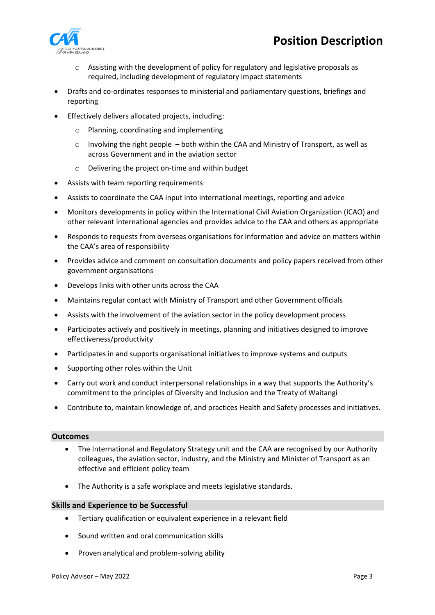

- $\circ$  Assisting with the development of policy for regulatory and legislative proposals as required, including development of regulatory impact statements
- Drafts and co-ordinates responses to ministerial and parliamentary questions, briefings and reporting
- Effectively delivers allocated projects, including:
	- o Planning, coordinating and implementing
	- $\circ$  Involving the right people both within the CAA and Ministry of Transport, as well as across Government and in the aviation sector
	- o Delivering the project on-time and within budget
- Assists with team reporting requirements
- Assists to coordinate the CAA input into international meetings, reporting and advice
- Monitors developments in policy within the International Civil Aviation Organization (ICAO) and other relevant international agencies and provides advice to the CAA and others as appropriate
- Responds to requests from overseas organisations for information and advice on matters within the CAA's area of responsibility
- Provides advice and comment on consultation documents and policy papers received from other government organisations
- Develops links with other units across the CAA
- Maintains regular contact with Ministry of Transport and other Government officials
- Assists with the involvement of the aviation sector in the policy development process
- Participates actively and positively in meetings, planning and initiatives designed to improve effectiveness/productivity
- Participates in and supports organisational initiatives to improve systems and outputs
- Supporting other roles within the Unit
- Carry out work and conduct interpersonal relationships in a way that supports the Authority's commitment to the principles of Diversity and Inclusion and the Treaty of Waitangi
- Contribute to, maintain knowledge of, and practices Health and Safety processes and initiatives.

#### **Outcomes**

- The International and Regulatory Strategy unit and the CAA are recognised by our Authority colleagues, the aviation sector, industry, and the Ministry and Minister of Transport as an effective and efficient policy team
- The Authority is a safe workplace and meets legislative standards.

#### **Skills and Experience to be Successful**

- Tertiary qualification or equivalent experience in a relevant field
- Sound written and oral communication skills
- Proven analytical and problem-solving ability